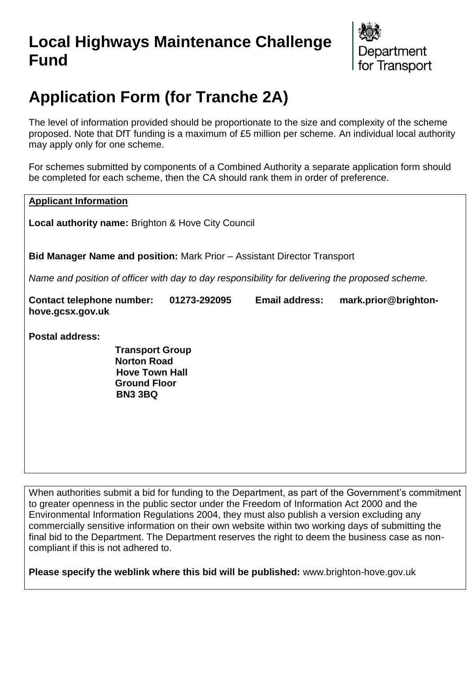# **Local Highways Maintenance Challenge Fund**



# **Application Form (for Tranche 2A)**

The level of information provided should be proportionate to the size and complexity of the scheme proposed. Note that DfT funding is a maximum of £5 million per scheme. An individual local authority may apply only for one scheme.

For schemes submitted by components of a Combined Authority a separate application form should be completed for each scheme, then the CA should rank them in order of preference.

**Applicant Information**

**Local authority name:** Brighton & Hove City Council

**Bid Manager Name and position:** Mark Prior – Assistant Director Transport

*Name and position of officer with day to day responsibility for delivering the proposed scheme.* 

**Contact telephone number: 01273-292095 Email address: mark.prior@brightonhove.gcsx.gov.uk**

**Postal address:**

**Transport Group Norton Road Hove Town Hall Ground Floor BN3 3BQ**

When authorities submit a bid for funding to the Department, as part of the Government's commitment to greater openness in the public sector under the Freedom of Information Act 2000 and the Environmental Information Regulations 2004, they must also publish a version excluding any commercially sensitive information on their own website within two working days of submitting the final bid to the Department. The Department reserves the right to deem the business case as noncompliant if this is not adhered to.

**Please specify the weblink where this bid will be published:** www.brighton-hove.gov.uk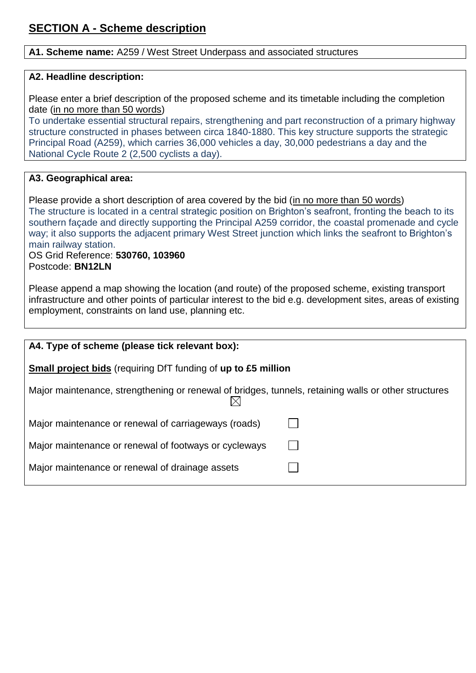#### **A1. Scheme name:** A259 / West Street Underpass and associated structures

#### **A2. Headline description:**

Please enter a brief description of the proposed scheme and its timetable including the completion date (in no more than 50 words)

To undertake essential structural repairs, strengthening and part reconstruction of a primary highway structure constructed in phases between circa 1840-1880. This key structure supports the strategic Principal Road (A259), which carries 36,000 vehicles a day, 30,000 pedestrians a day and the National Cycle Route 2 (2,500 cyclists a day).

#### **A3. Geographical area:**

Please provide a short description of area covered by the bid (in no more than 50 words) The structure is located in a central strategic position on Brighton's seafront, fronting the beach to its southern façade and directly supporting the Principal A259 corridor, the coastal promenade and cycle way; it also supports the adjacent primary West Street junction which links the seafront to Brighton's main railway station.

OS Grid Reference: **530760, 103960** Postcode: **BN12LN**

Please append a map showing the location (and route) of the proposed scheme, existing transport infrastructure and other points of particular interest to the bid e.g. development sites, areas of existing employment, constraints on land use, planning etc.

| A4. Type of scheme (please tick relevant box):                                                       |  |  |
|------------------------------------------------------------------------------------------------------|--|--|
|                                                                                                      |  |  |
| <b>Small project bids</b> (requiring DfT funding of up to £5 million                                 |  |  |
|                                                                                                      |  |  |
| Major maintenance, strengthening or renewal of bridges, tunnels, retaining walls or other structures |  |  |
|                                                                                                      |  |  |
|                                                                                                      |  |  |
| Major maintenance or renewal of carriageways (roads)                                                 |  |  |
|                                                                                                      |  |  |
|                                                                                                      |  |  |
| Major maintenance or renewal of footways or cycleways                                                |  |  |
|                                                                                                      |  |  |
| Major maintenance or renewal of drainage assets                                                      |  |  |
|                                                                                                      |  |  |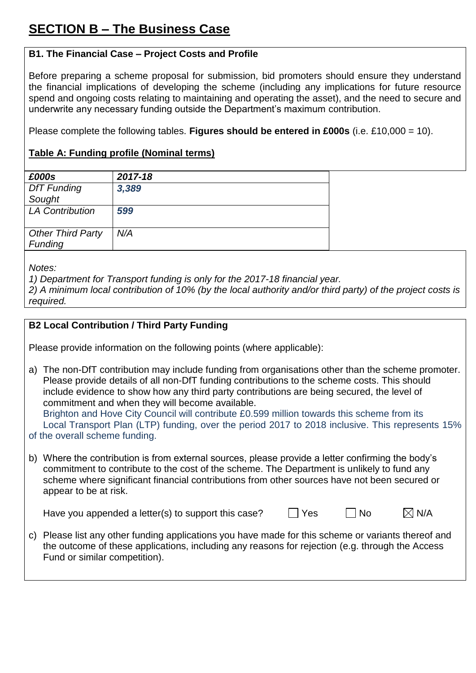## **B1. The Financial Case – Project Costs and Profile**

Before preparing a scheme proposal for submission, bid promoters should ensure they understand the financial implications of developing the scheme (including any implications for future resource spend and ongoing costs relating to maintaining and operating the asset), and the need to secure and underwrite any necessary funding outside the Department's maximum contribution.

Please complete the following tables. **Figures should be entered in £000s** (i.e. £10,000 = 10).

### **Table A: Funding profile (Nominal terms)**

| £000s                    | 2017-18 |
|--------------------------|---------|
| <b>DfT Funding</b>       | 3,389   |
| Sought                   |         |
| <b>LA Contribution</b>   | 599     |
|                          |         |
| <b>Other Third Party</b> | N/A     |
| Funding                  |         |

*Notes:*

*1) Department for Transport funding is only for the 2017-18 financial year.*

*2) A minimum local contribution of 10% (by the local authority and/or third party) of the project costs is required.*

#### **B2 Local Contribution / Third Party Funding**

Please provide information on the following points (where applicable):

- a) The non-DfT contribution may include funding from organisations other than the scheme promoter. Please provide details of all non-DfT funding contributions to the scheme costs. This should include evidence to show how any third party contributions are being secured, the level of commitment and when they will become available. Brighton and Hove City Council will contribute £0.599 million towards this scheme from its Local Transport Plan (LTP) funding, over the period 2017 to 2018 inclusive. This represents 15%
- of the overall scheme funding.
- b) Where the contribution is from external sources, please provide a letter confirming the body's commitment to contribute to the cost of the scheme. The Department is unlikely to fund any scheme where significant financial contributions from other sources have not been secured or appear to be at risk.

Have you appended a letter(s) to support this case?  $\Box$  Yes  $\Box$  No  $\Box$  N/A

- 
- c) Please list any other funding applications you have made for this scheme or variants thereof and the outcome of these applications, including any reasons for rejection (e.g. through the Access Fund or similar competition).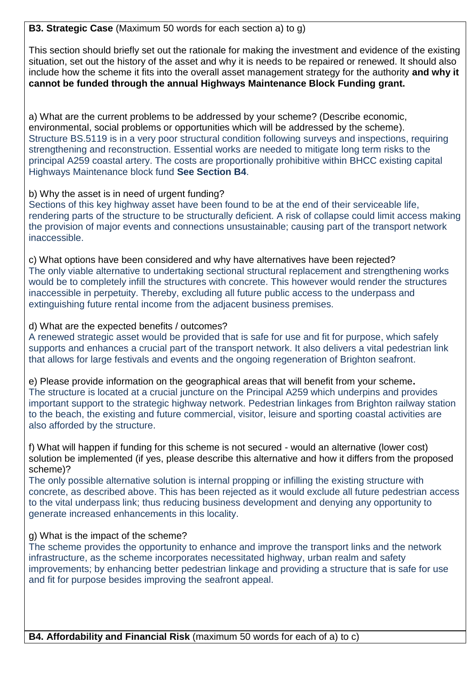**B3. Strategic Case** (Maximum 50 words for each section a) to g)

This section should briefly set out the rationale for making the investment and evidence of the existing situation, set out the history of the asset and why it is needs to be repaired or renewed. It should also include how the scheme it fits into the overall asset management strategy for the authority **and why it cannot be funded through the annual Highways Maintenance Block Funding grant.** 

a) What are the current problems to be addressed by your scheme? (Describe economic, environmental, social problems or opportunities which will be addressed by the scheme). Structure BS.5119 is in a very poor structural condition following surveys and inspections, requiring strengthening and reconstruction. Essential works are needed to mitigate long term risks to the principal A259 coastal artery. The costs are proportionally prohibitive within BHCC existing capital Highways Maintenance block fund **See Section B4**.

#### b) Why the asset is in need of urgent funding?

Sections of this key highway asset have been found to be at the end of their serviceable life, rendering parts of the structure to be structurally deficient. A risk of collapse could limit access making the provision of major events and connections unsustainable; causing part of the transport network inaccessible.

c) What options have been considered and why have alternatives have been rejected? The only viable alternative to undertaking sectional structural replacement and strengthening works would be to completely infill the structures with concrete. This however would render the structures inaccessible in perpetuity. Thereby, excluding all future public access to the underpass and extinguishing future rental income from the adjacent business premises.

#### d) What are the expected benefits / outcomes?

A renewed strategic asset would be provided that is safe for use and fit for purpose, which safely supports and enhances a crucial part of the transport network. It also delivers a vital pedestrian link that allows for large festivals and events and the ongoing regeneration of Brighton seafront.

e) Please provide information on the geographical areas that will benefit from your scheme**.**  The structure is located at a crucial juncture on the Principal A259 which underpins and provides important support to the strategic highway network. Pedestrian linkages from Brighton railway station to the beach, the existing and future commercial, visitor, leisure and sporting coastal activities are also afforded by the structure.

f) What will happen if funding for this scheme is not secured - would an alternative (lower cost) solution be implemented (if yes, please describe this alternative and how it differs from the proposed scheme)?

The only possible alternative solution is internal propping or infilling the existing structure with concrete, as described above. This has been rejected as it would exclude all future pedestrian access to the vital underpass link; thus reducing business development and denying any opportunity to generate increased enhancements in this locality.

#### g) What is the impact of the scheme?

The scheme provides the opportunity to enhance and improve the transport links and the network infrastructure, as the scheme incorporates necessitated highway, urban realm and safety improvements; by enhancing better pedestrian linkage and providing a structure that is safe for use and fit for purpose besides improving the seafront appeal.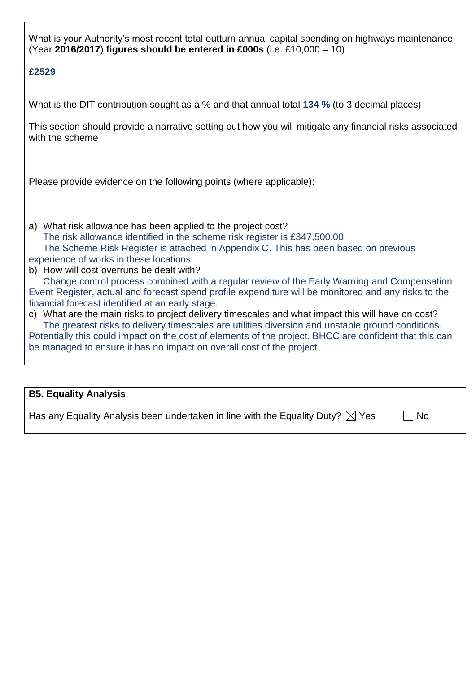What is your Authority's most recent total outturn annual capital spending on highways maintenance (Year **2016/2017**) **figures should be entered in £000s** (i.e. £10,000 = 10)

#### **£2529**

What is the DfT contribution sought as a % and that annual total **134 %** (to 3 decimal places)

This section should provide a narrative setting out how you will mitigate any financial risks associated with the scheme

Please provide evidence on the following points (where applicable):

a) What risk allowance has been applied to the project cost? The risk allowance identified in the scheme risk register is £347,500.00. The Scheme Risk Register is attached in Appendix C. This has been based on previous experience of works in these locations. b) How will cost overruns be dealt with?

Change control process combined with a regular review of the Early Warning and Compensation Event Register, actual and forecast spend profile expenditure will be monitored and any risks to the financial forecast identified at an early stage.

c) What are the main risks to project delivery timescales and what impact this will have on cost? The greatest risks to delivery timescales are utilities diversion and unstable ground conditions. Potentially this could impact on the cost of elements of the project. BHCC are confident that this can be managed to ensure it has no impact on overall cost of the project.

#### **B5. Equality Analysis**

Has any Equality Analysis been undertaken in line with the Equality Duty?  $\boxtimes$  Yes  $\Box$  No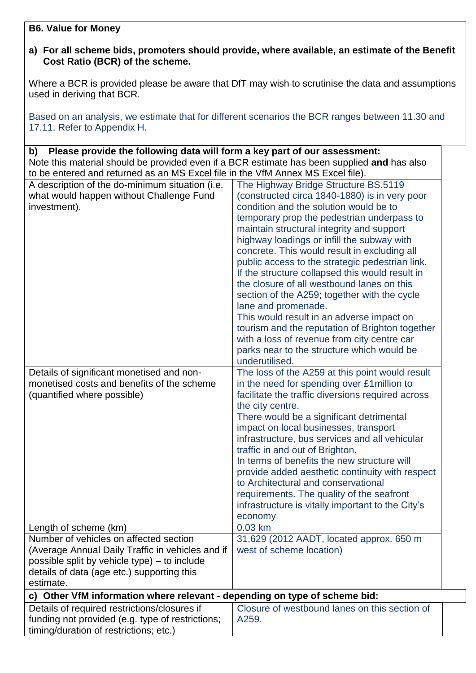#### **B6. Value for Money**

#### **a) For all scheme bids, promoters should provide, where available, an estimate of the Benefit Cost Ratio (BCR) of the scheme.**

Where a BCR is provided please be aware that DfT may wish to scrutinise the data and assumptions used in deriving that BCR.

Based on an analysis, we estimate that for different scenarios the BCR ranges between 11.30 and 17.11. Refer to Appendix H.

| Please provide the following data will form a key part of our assessment:<br>b)             |                                                   |  |
|---------------------------------------------------------------------------------------------|---------------------------------------------------|--|
| Note this material should be provided even if a BCR estimate has been supplied and has also |                                                   |  |
| to be entered and returned as an MS Excel file in the VfM Annex MS Excel file).             |                                                   |  |
| A description of the do-minimum situation (i.e.                                             | The Highway Bridge Structure BS.5119              |  |
| what would happen without Challenge Fund                                                    | (constructed circa 1840-1880) is in very poor     |  |
| investment).                                                                                | condition and the solution would be to            |  |
|                                                                                             | temporary prop the pedestrian underpass to        |  |
|                                                                                             | maintain structural integrity and support         |  |
|                                                                                             | highway loadings or infill the subway with        |  |
|                                                                                             | concrete. This would result in excluding all      |  |
|                                                                                             | public access to the strategic pedestrian link.   |  |
|                                                                                             | If the structure collapsed this would result in   |  |
|                                                                                             | the closure of all westbound lanes on this        |  |
|                                                                                             | section of the A259; together with the cycle      |  |
|                                                                                             | lane and promenade.                               |  |
|                                                                                             | This would result in an adverse impact on         |  |
|                                                                                             | tourism and the reputation of Brighton together   |  |
|                                                                                             | with a loss of revenue from city centre car       |  |
|                                                                                             | parks near to the structure which would be        |  |
|                                                                                             | underutilised.                                    |  |
| Details of significant monetised and non-                                                   | The loss of the A259 at this point would result   |  |
| monetised costs and benefits of the scheme                                                  | in the need for spending over £1 million to       |  |
| (quantified where possible)                                                                 | facilitate the traffic diversions required across |  |
|                                                                                             | the city centre.                                  |  |
|                                                                                             | There would be a significant detrimental          |  |
|                                                                                             | impact on local businesses, transport             |  |
|                                                                                             | infrastructure, bus services and all vehicular    |  |
|                                                                                             | traffic in and out of Brighton.                   |  |
|                                                                                             | In terms of benefits the new structure will       |  |
|                                                                                             | provide added aesthetic continuity with respect   |  |
|                                                                                             | to Architectural and conservational               |  |
|                                                                                             | requirements. The quality of the seafront         |  |
|                                                                                             | infrastructure is vitally important to the City's |  |
|                                                                                             | economy                                           |  |
| Length of scheme (km)                                                                       | 0.03 km                                           |  |
| Number of vehicles on affected section                                                      | 31,629 (2012 AADT, located approx. 650 m          |  |
| (Average Annual Daily Traffic in vehicles and if                                            | west of scheme location)                          |  |
| possible split by vehicle type) – to include                                                |                                                   |  |
| details of data (age etc.) supporting this                                                  |                                                   |  |
| estimate.                                                                                   |                                                   |  |
| c) Other VfM information where relevant - depending on type of scheme bid:                  |                                                   |  |
| Details of required restrictions/closures if                                                | Closure of westbound lanes on this section of     |  |
| funding not provided (e.g. type of restrictions;                                            | A259.                                             |  |
| timing/duration of restrictions; etc.)                                                      |                                                   |  |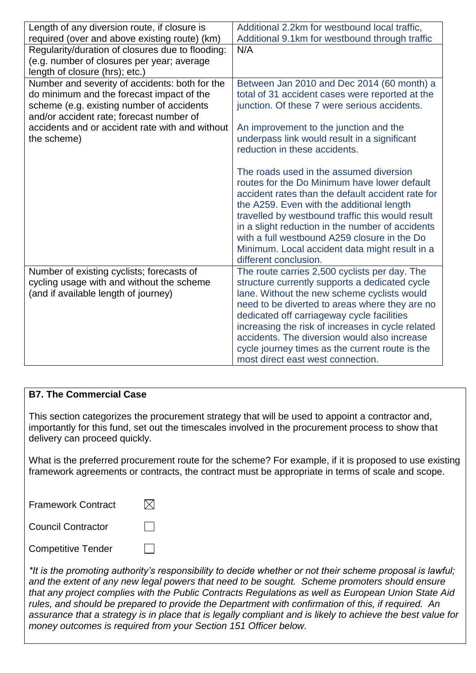| Length of any diversion route, if closure is<br>required (over and above existing route) (km)                                                                                        | Additional 2.2km for westbound local traffic,<br>Additional 9.1km for westbound through traffic                                                                                                                                                                                                                                                                                                                              |
|--------------------------------------------------------------------------------------------------------------------------------------------------------------------------------------|------------------------------------------------------------------------------------------------------------------------------------------------------------------------------------------------------------------------------------------------------------------------------------------------------------------------------------------------------------------------------------------------------------------------------|
| Regularity/duration of closures due to flooding:<br>(e.g. number of closures per year; average<br>length of closure (hrs); etc.)                                                     | N/A                                                                                                                                                                                                                                                                                                                                                                                                                          |
| Number and severity of accidents: both for the<br>do minimum and the forecast impact of the<br>scheme (e.g. existing number of accidents<br>and/or accident rate; forecast number of | Between Jan 2010 and Dec 2014 (60 month) a<br>total of 31 accident cases were reported at the<br>junction. Of these 7 were serious accidents.                                                                                                                                                                                                                                                                                |
| accidents and or accident rate with and without<br>the scheme)                                                                                                                       | An improvement to the junction and the<br>underpass link would result in a significant<br>reduction in these accidents.                                                                                                                                                                                                                                                                                                      |
|                                                                                                                                                                                      | The roads used in the assumed diversion<br>routes for the Do Minimum have lower default<br>accident rates than the default accident rate for<br>the A259. Even with the additional length<br>travelled by westbound traffic this would result<br>in a slight reduction in the number of accidents<br>with a full westbound A259 closure in the Do<br>Minimum. Local accident data might result in a<br>different conclusion. |
| Number of existing cyclists; forecasts of<br>cycling usage with and without the scheme<br>(and if available length of journey)                                                       | The route carries 2,500 cyclists per day. The<br>structure currently supports a dedicated cycle<br>lane. Without the new scheme cyclists would<br>need to be diverted to areas where they are no<br>dedicated off carriageway cycle facilities<br>increasing the risk of increases in cycle related<br>accidents. The diversion would also increase<br>cycle journey times as the current route is the                       |
|                                                                                                                                                                                      | most direct east west connection.                                                                                                                                                                                                                                                                                                                                                                                            |

#### **B7. The Commercial Case**

This section categorizes the procurement strategy that will be used to appoint a contractor and, importantly for this fund, set out the timescales involved in the procurement process to show that delivery can proceed quickly.

What is the preferred procurement route for the scheme? For example, if it is proposed to use existing framework agreements or contracts, the contract must be appropriate in terms of scale and scope.

| <b>Framework Contract</b> |  |
|---------------------------|--|
| <b>Council Contractor</b> |  |
| <b>Competitive Tender</b> |  |

*\*It is the promoting authority's responsibility to decide whether or not their scheme proposal is lawful; and the extent of any new legal powers that need to be sought. Scheme promoters should ensure that any project complies with the Public Contracts Regulations as well as European Union State Aid rules, and should be prepared to provide the Department with confirmation of this, if required. An assurance that a strategy is in place that is legally compliant and is likely to achieve the best value for money outcomes is required from your Section 151 Officer below.*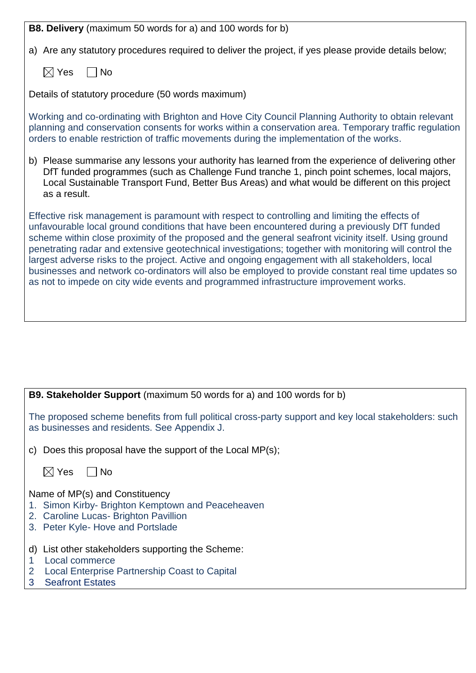**B8. Delivery** (maximum 50 words for a) and 100 words for b)

a) Are any statutory procedures required to deliver the project, if yes please provide details below;

 $\boxtimes$  Yes  $\Box$  No

Details of statutory procedure (50 words maximum)

Working and co-ordinating with Brighton and Hove City Council Planning Authority to obtain relevant planning and conservation consents for works within a conservation area. Temporary traffic regulation orders to enable restriction of traffic movements during the implementation of the works.

b) Please summarise any lessons your authority has learned from the experience of delivering other DfT funded programmes (such as Challenge Fund tranche 1, pinch point schemes, local majors, Local Sustainable Transport Fund, Better Bus Areas) and what would be different on this project as a result.

Effective risk management is paramount with respect to controlling and limiting the effects of unfavourable local ground conditions that have been encountered during a previously DfT funded scheme within close proximity of the proposed and the general seafront vicinity itself. Using ground penetrating radar and extensive geotechnical investigations; together with monitoring will control the largest adverse risks to the project. Active and ongoing engagement with all stakeholders, local businesses and network co-ordinators will also be employed to provide constant real time updates so as not to impede on city wide events and programmed infrastructure improvement works.

| <b>B9. Stakeholder Support</b> (maximum 50 words for a) and 100 words for b)                                                                                        |
|---------------------------------------------------------------------------------------------------------------------------------------------------------------------|
| The proposed scheme benefits from full political cross-party support and key local stakeholders: such<br>as businesses and residents. See Appendix J.               |
| Does this proposal have the support of the Local MP(s);<br>C)                                                                                                       |
| $\boxtimes$ Yes<br>No.                                                                                                                                              |
| Name of MP(s) and Constituency<br>1. Simon Kirby- Brighton Kemptown and Peaceheaven<br>2. Caroline Lucas- Brighton Pavillion<br>3. Peter Kyle- Hove and Portslade   |
| List other stakeholders supporting the Scheme:<br>d)<br>Local commerce<br><b>Local Enterprise Partnership Coast to Capital</b><br>2<br><b>Seafront Estates</b><br>3 |